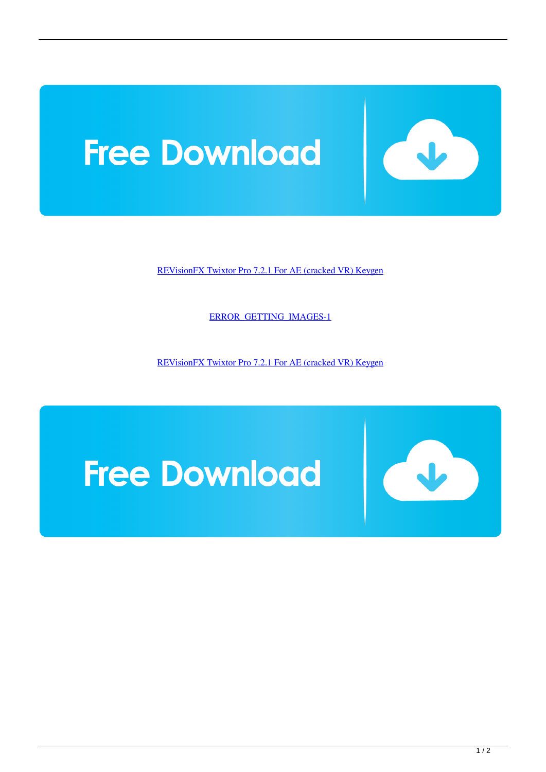

[REVisionFX Twixtor Pro 7.2.1 For AE \(cracked VR\) Keygen](https://tlniurl.com/1qzf6t)

[ERROR\\_GETTING\\_IMAGES-1](https://tlniurl.com/1qzf6t)

[REVisionFX Twixtor Pro 7.2.1 For AE \(cracked VR\) Keygen](https://tlniurl.com/1qzf6t)